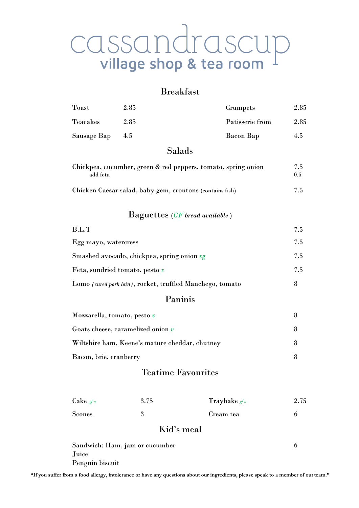# CASSANdraSCUP<br>village shop & tea room

### Breakfast

| Toast           | 2.85 |        | Crumpets        | 2.85 |
|-----------------|------|--------|-----------------|------|
| <b>Teacakes</b> | 2.85 |        | Patisserie from | 2.85 |
| Sausage Bap     | 4.5  |        | Bacon Bap       | 4.5  |
|                 |      | Salads |                 |      |

| Chickpea, cucumber, green & red peppers, tomato, spring onion<br>add feta |     |
|---------------------------------------------------------------------------|-----|
| Chicken Caesar salad, baby gem, croutons (contains fish)                  | 7.5 |

#### Baguettes (*GF bread available* )

| 7.5 |
|-----|
| 7.5 |
| 7.5 |
| 7.5 |
| 8   |
|     |

#### Paninis

| Mozzarella, tomato, pesto $v$                  |  |
|------------------------------------------------|--|
| Goats cheese, caramelized onion $v$            |  |
| Wiltshire ham, Keene's mature cheddar, chutney |  |
| Bacon, brie, cranberry                         |  |

#### Teatime Favourites

| Cake $gfa$    | 3.75 | Traybake $gfa$ | 2.75 |
|---------------|------|----------------|------|
| <b>Scones</b> |      | Cream tea      |      |

#### Kid's meal

| Sandwich: Ham, jam or cucumber |  |
|--------------------------------|--|
| Juice                          |  |
| Penguin biscuit                |  |

"If you suffer from a food allergy, intolerance or have any questions about our ingredients, please speak to a member of our team."